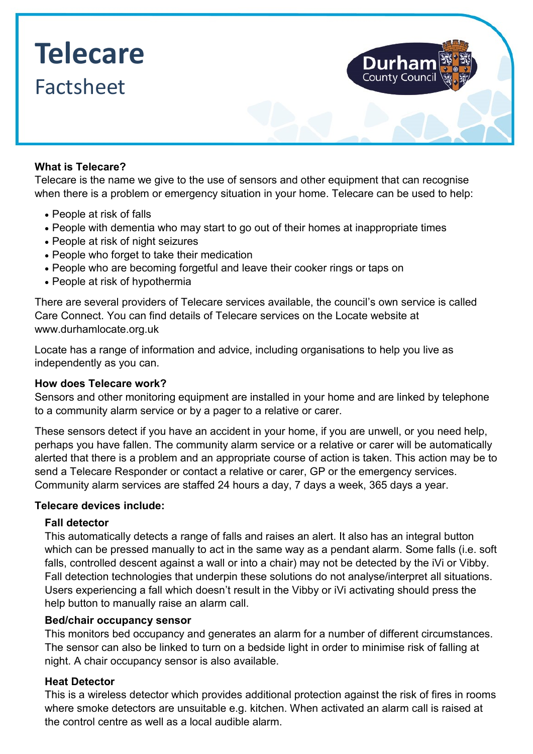# **Telecare** Factsheet

## **What is Telecare?**

Telecare is the name we give to the use of sensors and other equipment that can recognise when there is a problem or emergency situation in your home. Telecare can be used to help:

- People at risk of falls
- People with dementia who may start to go out of their homes at inappropriate times
- People at risk of night seizures
- People who forget to take their medication
- People who are becoming forgetful and leave their cooker rings or taps on
- People at risk of hypothermia

There are several providers of Telecare services available, the council's own service is called Care Connect. You can find details of Telecare services on the Locate website at [www.durhamlocate.org.uk](http://www.durhamlocate.org.uk)

Locate has a range of information and advice, including organisations to help you live as independently as you can.

#### **How does Telecare work?**

Sensors and other monitoring equipment are installed in your home and are linked by telephone to a community alarm service or by a pager to a relative or carer.

These sensors detect if you have an accident in your home, if you are unwell, or you need help, perhaps you have fallen. The community alarm service or a relative or carer will be automatically alerted that there is a problem and an appropriate course of action is taken. This action may be to send a Telecare Responder or contact a relative or carer, GP or the emergency services. Community alarm services are staffed 24 hours a day, 7 days a week, 365 days a year.

#### **Telecare devices include:**

#### **Fall detector**

This automatically detects a range of falls and raises an alert. It also has an integral button which can be pressed manually to act in the same way as a pendant alarm. Some falls (i.e. soft falls, controlled descent against a wall or into a chair) may not be detected by the iVi or Vibby. Fall detection technologies that underpin these solutions do not analyse/interpret all situations. Users experiencing a fall which doesn't result in the Vibby or iVi activating should press the help button to manually raise an alarm call.

#### **Bed/chair occupancy sensor**

This monitors bed occupancy and generates an alarm for a number of different circumstances. The sensor can also be linked to turn on a bedside light in order to minimise risk of falling at night. A chair occupancy sensor is also available.

# **Heat Detector**

This is a wireless detector which provides additional protection against the risk of fires in rooms where smoke detectors are unsuitable e.g. kitchen. When activated an alarm call is raised at the control centre as well as a local audible alarm.